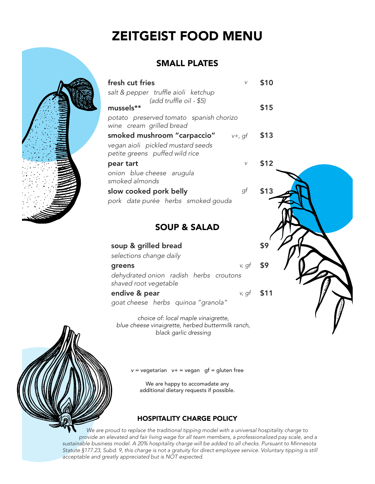## ZEITGEIST FOOD MENU

## SMALL PLATES

|                         | fresh cut fries                                                                                              | V     | \$10 |  |  |
|-------------------------|--------------------------------------------------------------------------------------------------------------|-------|------|--|--|
|                         | salt & pepper truffle aioli ketchup<br>(add truffle oil - \$5)<br>mussels**                                  |       | \$15 |  |  |
|                         | potato preserved tomato spanish chorizo<br>wine cream grilled bread                                          |       |      |  |  |
|                         | smoked mushroom "carpaccio" $v+$ , gf<br>vegan aioli pickled mustard seeds<br>petite greens puffed wild rice |       | \$13 |  |  |
|                         | pear tart<br>onion blue cheese arugula<br>smoked almonds                                                     | V     | \$12 |  |  |
|                         | slow cooked pork belly<br>pork date purée herbs smoked gouda                                                 | gf    | \$13 |  |  |
| <b>SOUP &amp; SALAD</b> |                                                                                                              |       |      |  |  |
|                         | soup & grilled bread<br>selections change daily                                                              |       | \$9  |  |  |
|                         | greens<br>debudrated opion radish berbs croutens                                                             | v, qt |      |  |  |

dehydrated onion radish herbs croutons shaved root vegetable

goat cheese herbs quinoa "granola"

choice of: local maple vinaigrette, blue cheese vinaigrette, herbed buttermilk ranch, black garlic dressing

 $v = v$  vegetarian  $v + v = v$  vegang f = gluten free

We are happy to accomadate any additional dietary requests if possible.

## HOSPITALITY CHARGE POLICY

We are proud to replace the traditional tipping model with a universal hospitality charge to provide an elevated and fair living wage for all team members, a professionalized pay scale, and a sustainable business model. A 20% hospitality charge will be added to all checks. Pursuant to Minnesota Statute §177.23, Subd. 9, this charge is not a gratuity for direct employee service. Voluntary tipping is still acceptable and greatly appreciated but is NOT expected.



endive & pear  $v, gf$  \$11